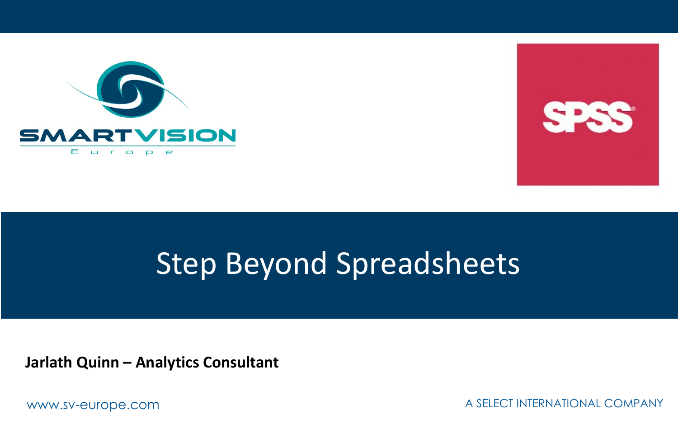



## Step Beyond Spreadsheets

**Jarlath Quinn – Analytics Consultant**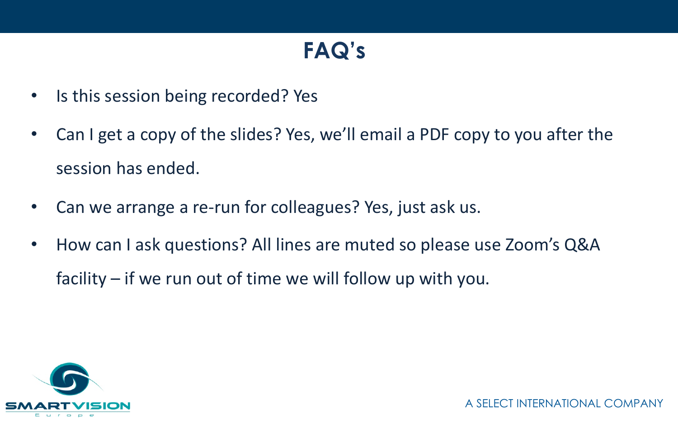## **FAQ's**

- Is this session being recorded? Yes
- Can I get a copy of the slides? Yes, we'll email a PDF copy to you after the session has ended.
- Can we arrange a re-run for colleagues? Yes, just ask us.
- How can I ask questions? All lines are muted so please use Zoom's Q&A facility – if we run out of time we will follow up with you.

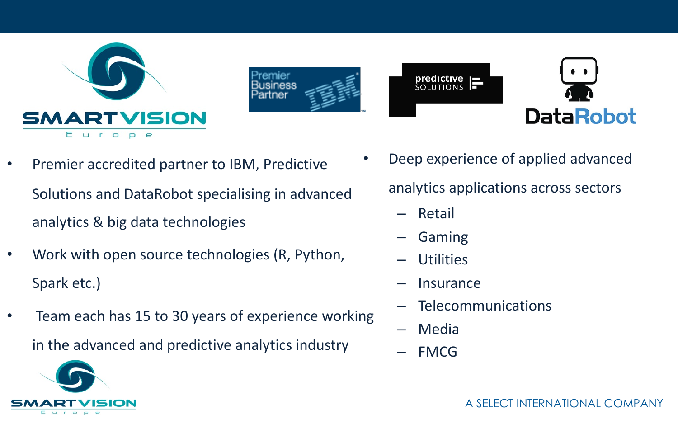





- Premier accredited partner to IBM, Predictive Solutions and DataRobot specialising in advanced analytics & big data technologies
- Work with open source technologies (R, Python, Spark etc.)
- Team each has 15 to 30 years of experience working in the advanced and predictive analytics industry
- Deep experience of applied advanced analytics applications across sectors
	- Retail
	- Gaming
	- Utilities
	- **Insurance**
	- Telecommunications
	- Media
	- FMCG



A SELECT INTERNATIONAL COMPANY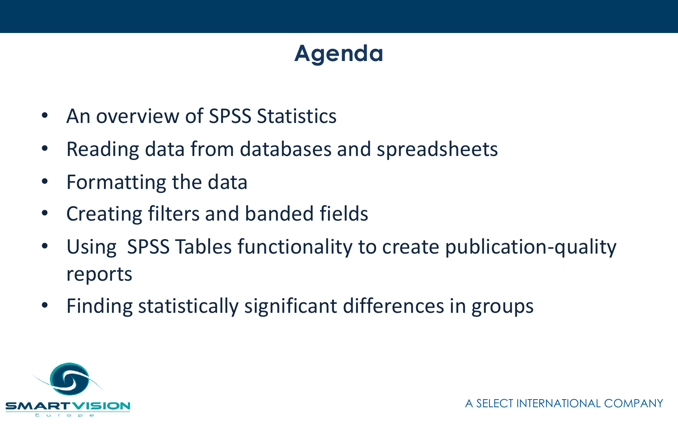## **Agenda**

- An overview of SPSS Statistics
- Reading data from databases and spreadsheets
- Formatting the data
- Creating filters and banded fields
- Using SPSS Tables functionality to create publication-quality reports
- Finding statistically significant differences in groups

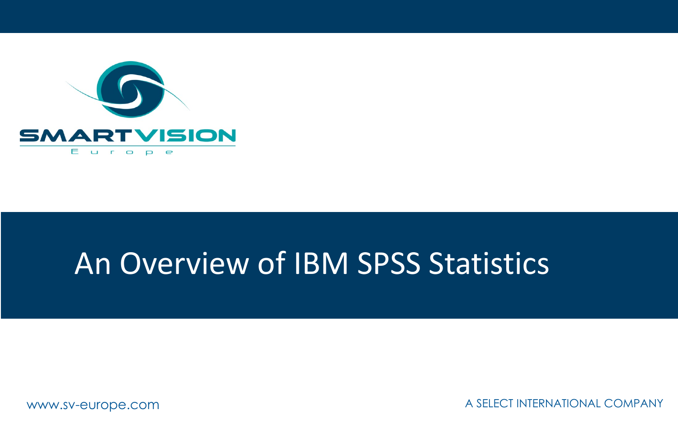

## An Overview of IBM SPSS Statistics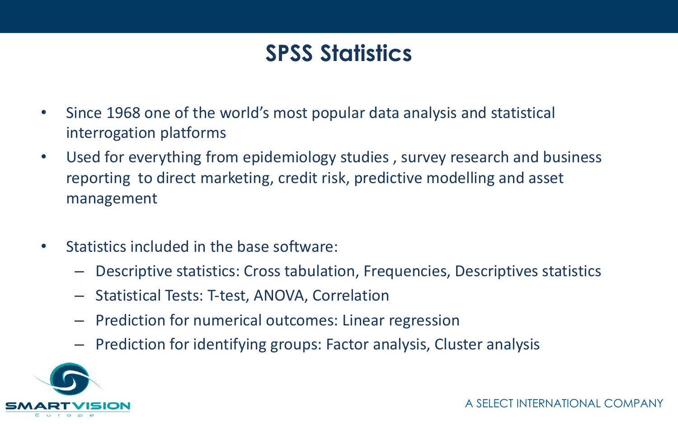### **SPSS Statistics**

- Since 1968 one of the world's most popular data analysis and statistical interrogation platforms
- Used for everything from epidemiology studies , survey research and business reporting to direct marketing, credit risk, predictive modelling and asset management
- Statistics included in the base software:
	- Descriptive statistics: Cross tabulation, Frequencies, Descriptives statistics
	- Statistical Tests: T-test, ANOVA, Correlation
	- Prediction for numerical outcomes: Linear regression
	- Prediction for identifying groups: Factor analysis, Cluster analysis

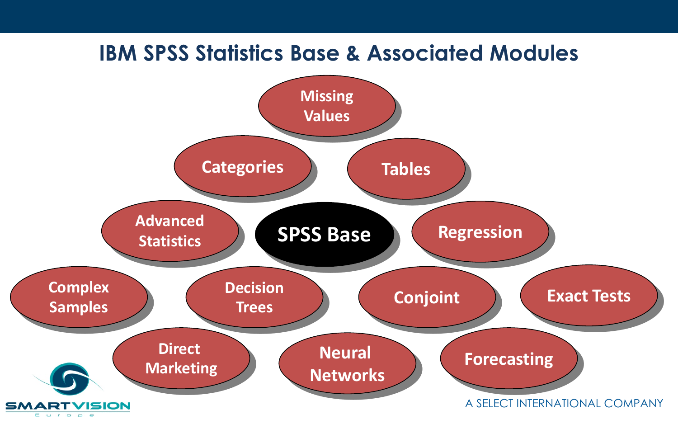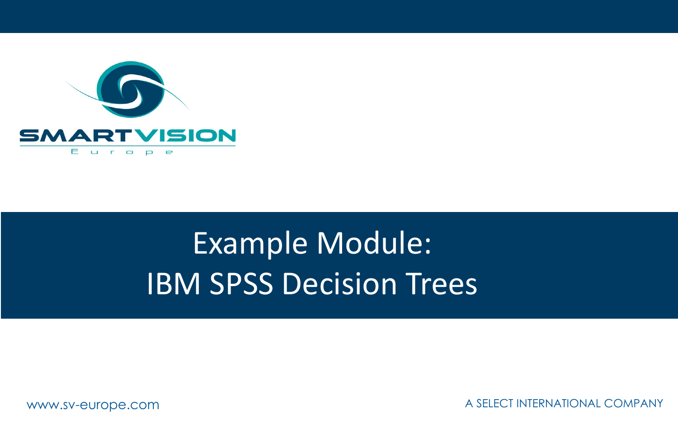

# Example Module: IBM SPSS Decision Trees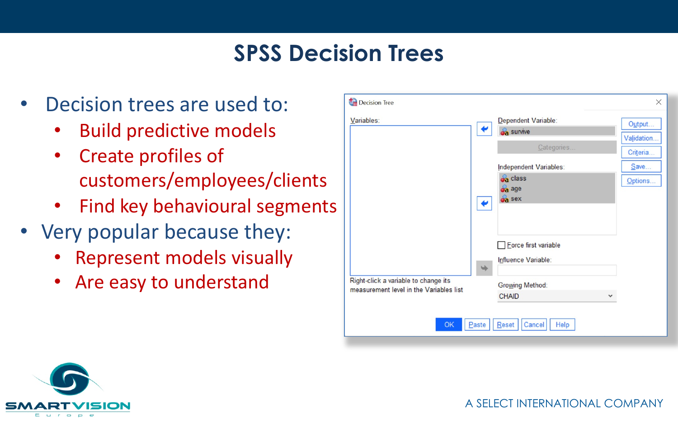### **SPSS Decision Trees**

- Decision trees are used to:
	- Build predictive models
	- Create profiles of customers/employees/clients
	- Find key behavioural segments
- Very popular because they:
	- Represent models visually
	- Are easy to understand

| Decision Tree                                                                   |                                                                                  | $\times$              |
|---------------------------------------------------------------------------------|----------------------------------------------------------------------------------|-----------------------|
| Variables:                                                                      | Dependent Variable:<br>↫<br><b>Sa</b> survive                                    | Output<br>Validation. |
|                                                                                 | Categories                                                                       | Criteria<br>Save      |
|                                                                                 | Independent Variables:<br><b>Sa</b> class<br><b>Sa</b> age<br><b>Sa</b> sex<br>€ | Options               |
|                                                                                 | <b>Eorce first variable</b><br>Influence Variable:<br>$\Rightarrow$              |                       |
| Right-click a variable to change its<br>measurement level in the Variables list | <b>Growing Method:</b><br><b>CHAID</b>                                           |                       |
| OK<br>Paste                                                                     | Reset<br>Cancel                                                                  | Help                  |



A SELECT INTERNATIONAL COMPANY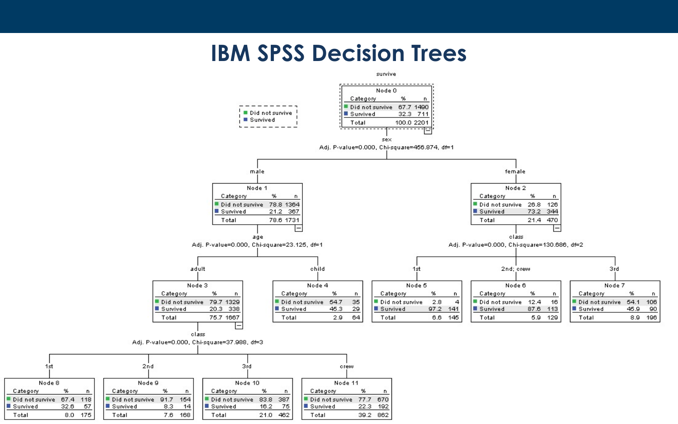### **IBM SPSS Decision Trees**

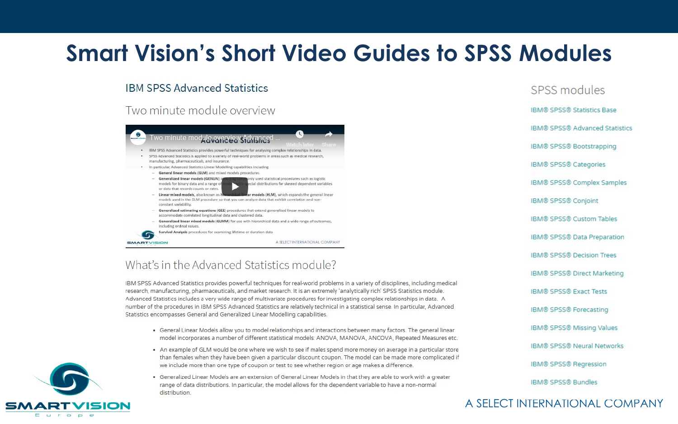### **Smart Vision's Short Video Guides to SPSS Modules**

#### **IBM SPSS Advanced Statistics**

#### Two minute module overview



#### What's in the Advanced Statistics module?

IBM SPSS Advanced Statistics provides powerful techniques for real-world problems in a variety of disciplines, including medical research, manufacturing, pharmaceuticals, and market research. It is an extremely 'analytically rich' SPSS Statistics module. Advanced Statistics includes a very wide range of multivariate procedures for investigating complex relationships in data. A number of the procedures in IBM SPSS Advanced Statistics are relatively technical in a statistical sense. In particular, Advanced Statistics encompasses General and Generalized Linear Modelling capabilities.

- . General Linear Models allow you to model relationships and interactions between many factors. The general linear model incorporates a number of different statistical models: ANOVA, MANOVA, ANCOVA, Repeated Measures etc.
- . An example of GLM would be one where we wish to see if males spend more money on average in a particular store than females when they have been given a particular discount coupon. The model can be made more complicated if we include more than one type of coupon or test to see whether region or age makes a difference.
- · Generalized Linear Models are an extension of General Linear Models in that they are able to work with a greater range of data distributions. In particular, the model allows for the dependent variable to have a non-normal distribution.

### SPSS modules **IBM® SPSS® Statistics Base IRM® SPSS® Advanced Statistics** IBM® SPSS® Bootstrapping IBM® SPSS® Categories IBM® SPSS® Complex Samples IBM® SPSS® Conjoint **IBM® SPSS® Custom Tables** IBM® SPSS® Data Preparation IBM® SPSS® Decision Trees IBM® SPSS® Direct Marketing **IBM® SPSS® Exact Tests** IBM® SPSS® Forecasting IBM® SPSS® Missing Values IBM® SPSS® Neural Networks IBM® SPSS® Regression IBM® SPSS® Bundles

#### A SELECT INTERNATIONAL COMPANY

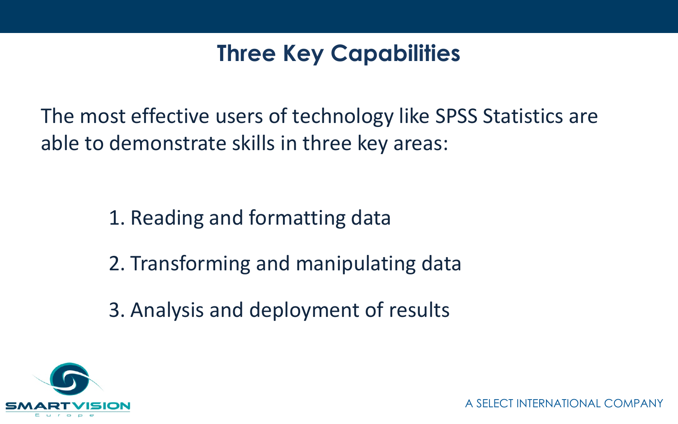### **Three Key Capabilities**

The most effective users of technology like SPSS Statistics are able to demonstrate skills in three key areas:

- 1. Reading and formatting data
- 2. Transforming and manipulating data
- 3. Analysis and deployment of results

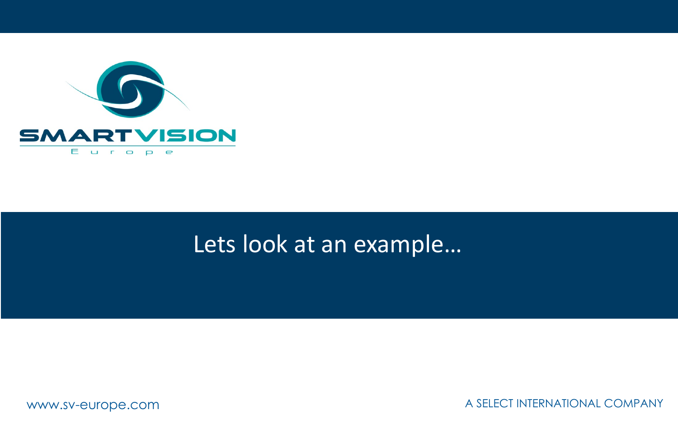

### Lets look at an example…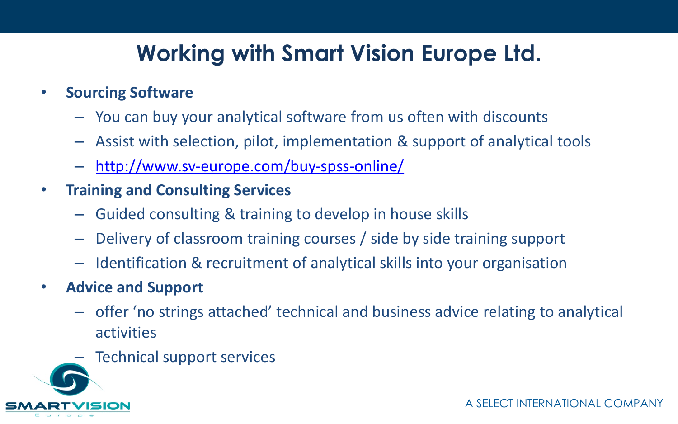## **Working with Smart Vision Europe Ltd.**

### • **Sourcing Software**

- You can buy your analytical software from us often with discounts
- Assist with selection, pilot, implementation & support of analytical too
- http://www.sv-europe.com/buy-spss-online/
- **Training and Consulting Services**
	- Guided consulting & training to develop in house skills
	- Delivery of classroom training courses / side by side training support
	- Identification & recruitment of analytical skills into your organisation
- **Advice and Support**
	- offer 'no strings attached' technical and business advice relating to an activities
	- Technical support services